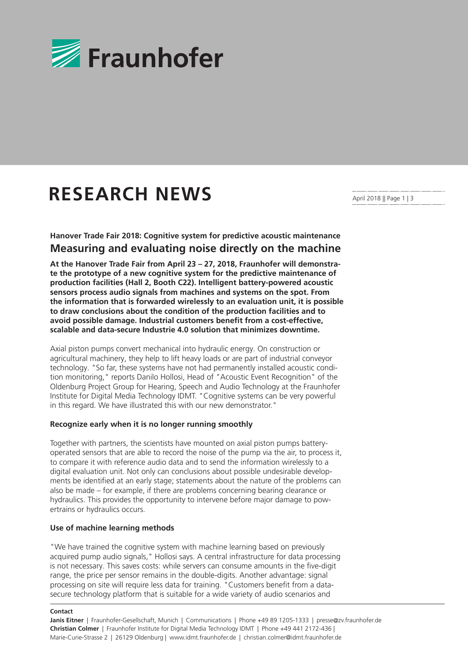

# **RESEARCH NEWS**

April 2018 || Page 1 | 3

**Hanover Trade Fair 2018: Cognitive system for predictive acoustic maintenance Measuring and evaluating noise directly on the machine**

**At the Hanover Trade Fair from April 23 – 27, 2018, Fraunhofer will demonstrate the prototype of a new cognitive system for the predictive maintenance of production facilities (Hall 2, Booth C22). Intelligent battery-powered acoustic sensors process audio signals from machines and systems on the spot. From the information that is forwarded wirelessly to an evaluation unit, it is possible to draw conclusions about the condition of the production facilities and to avoid possible damage. Industrial customers benefit from a cost-effective, scalable and data-secure Industrie 4.0 solution that minimizes downtime.** 

Axial piston pumps convert mechanical into hydraulic energy. On construction or agricultural machinery, they help to lift heavy loads or are part of industrial conveyor technology. "So far, these systems have not had permanently installed acoustic condition monitoring," reports Danilo Hollosi, Head of "Acoustic Event Recognition" of the Oldenburg Project Group for Hearing, Speech and Audio Technology at the Fraunhofer Institute for Digital Media Technology IDMT. "Cognitive systems can be very powerful in this regard. We have illustrated this with our new demonstrator."

#### **Recognize early when it is no longer running smoothly**

Together with partners, the scientists have mounted on axial piston pumps batteryoperated sensors that are able to record the noise of the pump via the air, to process it, to compare it with reference audio data and to send the information wirelessly to a digital evaluation unit. Not only can conclusions about possible undesirable developments be identified at an early stage; statements about the nature of the problems can also be made – for example, if there are problems concerning bearing clearance or hydraulics. This provides the opportunity to intervene before major damage to powertrains or hydraulics occurs.

# **Use of machine learning methods**

"We have trained the cognitive system with machine learning based on previously acquired pump audio signals," Hollosi says. A central infrastructure for data processing is not necessary. This saves costs: while servers can consume amounts in the five-digit range, the price per sensor remains in the double-digits. Another advantage: signal processing on site will require less data for training. "Customers benefit from a datasecure technology platform that is suitable for a wide variety of audio scenarios and

#### **Contact**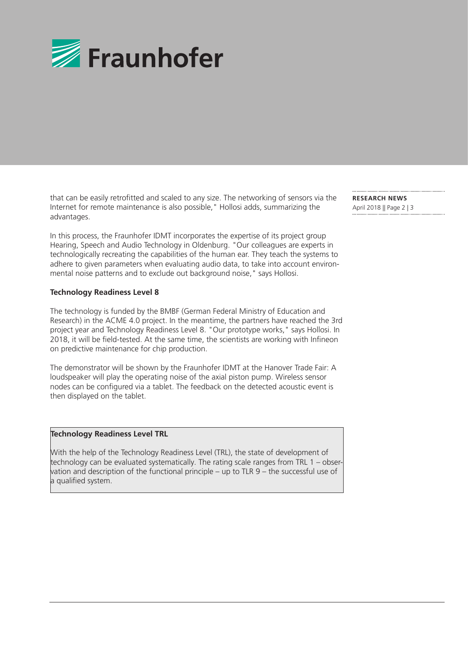

that can be easily retrofitted and scaled to any size. The networking of sensors via the Internet for remote maintenance is also possible," Hollosi adds, summarizing the advantages.

In this process, the Fraunhofer IDMT incorporates the expertise of its project group Hearing, Speech and Audio Technology in Oldenburg. "Our colleagues are experts in technologically recreating the capabilities of the human ear. They teach the systems to adhere to given parameters when evaluating audio data, to take into account environmental noise patterns and to exclude out background noise," says Hollosi.

# **Technology Readiness Level 8**

The technology is funded by the BMBF (German Federal Ministry of Education and Research) in the ACME 4.0 project. In the meantime, the partners have reached the 3rd project year and Technology Readiness Level 8. "Our prototype works," says Hollosi. In 2018, it will be field-tested. At the same time, the scientists are working with Infineon on predictive maintenance for chip production.

The demonstrator will be shown by the Fraunhofer IDMT at the Hanover Trade Fair: A loudspeaker will play the operating noise of the axial piston pump. Wireless sensor nodes can be configured via a tablet. The feedback on the detected acoustic event is then displayed on the tablet.

#### **Technology Readiness Level TRL**

With the help of the Technology Readiness Level (TRL), the state of development of technology can be evaluated systematically. The rating scale ranges from TRL 1 – observation and description of the functional principle – up to TLR 9 – the successful use of a qualified system.

**RESEARCH NEWS**  April 2018 || Page 2 | 3